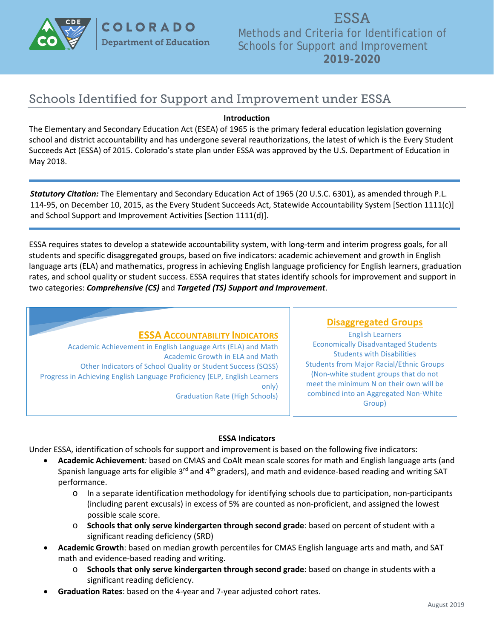

COLORADO **Department of Education** 

ESSA Methods and Criteria for Identification of Schools for Support and Improvement **2019-2020**

# Schools Identified for Support and Improvement under ESSA

#### **Introduction**

The Elementary and Secondary Education Act (ESEA) of 1965 is the primary federal education legislation governing school and district accountability and has undergone several reauthorizations, the latest of which is the Every Student Succeeds Act (ESSA) of 2015. Colorado's state plan under ESSA was approved by the U.S. Department of Education in May 2018.

*Statutory Citation:* The Elementary and Secondary Education Act of 1965 (20 U.S.C. 6301), as amended through P.L. 114-95, on December 10, 2015, as the Every Student Succeeds Act, Statewide Accountability System [Section 1111(c)] and School Support and Improvement Activities [Section 1111(d)].

ESSA requires states to develop a statewide accountability system, with long-term and interim progress goals, for all students and specific disaggregated groups, based on five indicators: academic achievement and growth in English language arts (ELA) and mathematics, progress in achieving English language proficiency for English learners, graduation rates, and school quality or student success. ESSA requires that states identify schools for improvement and support in two categories: *Comprehensive (CS)* and *Targeted (TS) Support and Improvement*.

## **ESSA ACCOUNTABILITY INDICATORS**

Academic Achievement in English Language Arts (ELA) and Math Academic Growth in ELA and Math Other Indicators of School Quality or Student Success (SQSS) Progress in Achieving English Language Proficiency (ELP, English Learners only) Graduation Rate (High Schools)

## **Disaggregated Groups**

English Learners Economically Disadvantaged Students Students with Disabilities Students from Major Racial/Ethnic Groups (Non-white student groups that do not meet the minimum N on their own will be combined into an Aggregated Non-White Group)

#### **ESSA Indicators**

Under ESSA, identification of schools for support and improvement is based on the following five indicators:

- **Academic Achievement***:* based on CMAS and CoAlt mean scale scores for math and English language arts (and Spanish language arts for eligible 3<sup>rd</sup> and 4<sup>th</sup> graders), and math and evidence-based reading and writing SAT performance.
	- $\circ$  In a separate identification methodology for identifying schools due to participation, non-participants (including parent excusals) in excess of 5% are counted as non-proficient, and assigned the lowest possible scale score.
	- o **Schools that only serve kindergarten through second grade**: based on percent of student with a significant reading deficiency (SRD)
- **Academic Growth**: based on median growth percentiles for CMAS English language arts and math, and SAT math and evidence-based reading and writing.
	- o **Schools that only serve kindergarten through second grade**: based on change in students with a significant reading deficiency.
- **Graduation Rates**: based on the 4-year and 7-year adjusted cohort rates.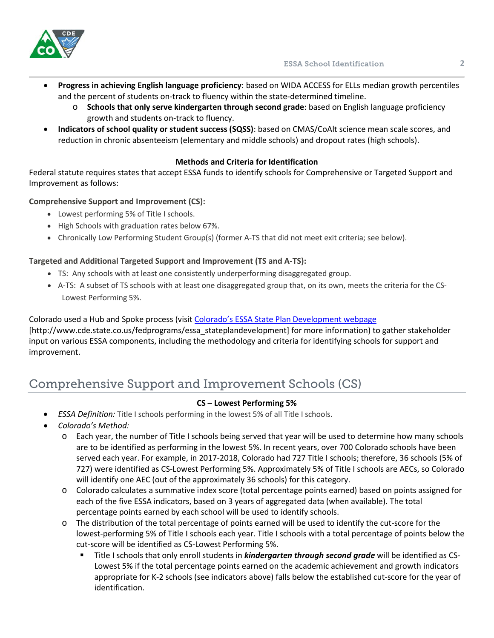

- **Progress in achieving English language proficiency**: based on WIDA ACCESS for ELLs median growth percentiles and the percent of students on-track to fluency within the state-determined timeline.
	- o **Schools that only serve kindergarten through second grade**: based on English language proficiency growth and students on-track to fluency.
- **Indicators of school quality or student success (SQSS)**: based on CMAS/CoAlt science mean scale scores, and reduction in chronic absenteeism (elementary and middle schools) and dropout rates (high schools).

## **Methods and Criteria for Identification**

Federal statute requires states that accept ESSA funds to identify schools for Comprehensive or Targeted Support and Improvement as follows:

## **Comprehensive Support and Improvement (CS):**

- Lowest performing 5% of Title I schools.
- High Schools with graduation rates below 67%.
- Chronically Low Performing Student Group(s) (former A-TS that did not meet exit criteria; see below).

# **Targeted and Additional Targeted Support and Improvement (TS and A-TS):**

- TS: Any schools with at least one consistently underperforming disaggregated group.
- A-TS: A subset of TS schools with at least one disaggregated group that, on its own, meets the criteria for the CS-Lowest Performing 5%.

Colorado used a Hub and Spoke process (visit [Colorado's ESSA State Plan Development webpage](http://www.cde.state.co.us/fedprograms/essa_stateplandevelopment) [http://www.cde.state.co.us/fedprograms/essa\_stateplandevelopment] for more information) to gather stakeholder input on various ESSA components, including the methodology and criteria for identifying schools for support and improvement.

# Comprehensive Support and Improvement Schools (CS)

## **CS – Lowest Performing 5%**

- *ESSA Definition:* Title I schools performing in the lowest 5% of all Title I schools.
- *Colorado's Method:* 
	- o Each year, the number of Title I schools being served that year will be used to determine how many schools are to be identified as performing in the lowest 5%. In recent years, over 700 Colorado schools have been served each year. For example, in 2017-2018, Colorado had 727 Title I schools; therefore, 36 schools (5% of 727) were identified as CS-Lowest Performing 5%. Approximately 5% of Title I schools are AECs, so Colorado will identify one AEC (out of the approximately 36 schools) for this category.
	- o Colorado calculates a summative index score (total percentage points earned) based on points assigned for each of the five ESSA indicators, based on 3 years of aggregated data (when available). The total percentage points earned by each school will be used to identify schools.
	- o The distribution of the total percentage of points earned will be used to identify the cut-score for the lowest-performing 5% of Title I schools each year. Title I schools with a total percentage of points below the cut-score will be identified as CS-Lowest Performing 5%.
		- Title I schools that only enroll students in *kindergarten through second grade* will be identified as CS-Lowest 5% if the total percentage points earned on the academic achievement and growth indicators appropriate for K-2 schools (see indicators above) falls below the established cut-score for the year of identification.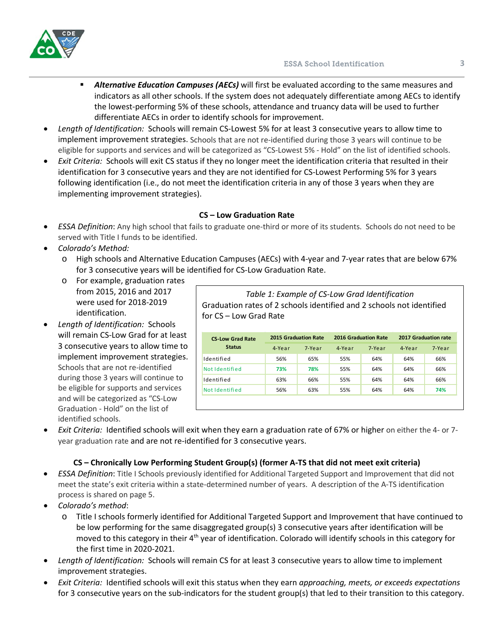

- *Alternative Education Campuses (AECs)* will first be evaluated according to the same measures and indicators as all other schools. If the system does not adequately differentiate among AECs to identify the lowest-performing 5% of these schools, attendance and truancy data will be used to further differentiate AECs in order to identify schools for improvement.
- *Length of Identification:* Schools will remain CS-Lowest 5% for at least 3 consecutive years to allow time to implement improvement strategies. Schools that are not re-identified during those 3 years will continue to be eligible for supports and services and will be categorized as "CS-Lowest 5% - Hold" on the list of identified schools.
- *Exit Criteria:* Schools will exit CS status if they no longer meet the identification criteria that resulted in their identification for 3 consecutive years and they are not identified for CS-Lowest Performing 5% for 3 years following identification (i.e., do not meet the identification criteria in any of those 3 years when they are implementing improvement strategies).

## **CS – Low Graduation Rate**

- *ESSA Definition*: Any high school that fails to graduate one-third or more of its students. Schools do not need to be served with Title I funds to be identified.
- *Colorado's Method:*
	- o High schools and Alternative Education Campuses (AECs) with 4-year and 7-year rates that are below 67% for 3 consecutive years will be identified for CS-Low Graduation Rate.
	- o For example, graduation rates from 2015, 2016 and 2017 were used for 2018-2019 identification.
- *Length of Identification:* Schools will remain CS-Low Grad for at least 3 consecutive years to allow time to implement improvement strategies. Schools that are not re-identified during those 3 years will continue to be eligible for supports and services and will be categorized as "CS-Low Graduation - Hold" on the list of identified schools.

*Table 1: Example of CS-Low Grad Identification* Graduation rates of 2 schools identified and 2 schools not identified for CS – Low Grad Rate

| <b>CS-Low Grad Rate</b> |        | <b>2015 Graduation Rate</b> |        | <b>2016 Graduation Rate</b> | 2017 Graduation rate |        |  |
|-------------------------|--------|-----------------------------|--------|-----------------------------|----------------------|--------|--|
| <b>Status</b>           | 4-Year | 7-Year                      | 4-Year | 7-Year                      | 4-Year               | 7-Year |  |
| Identified              | 56%    | 65%                         | 55%    | 64%                         | 64%                  | 66%    |  |
| Not Identified          | 73%    | 78%                         | 55%    | 64%                         | 64%                  | 66%    |  |
| Identified              | 63%    | 66%                         | 55%    | 64%                         | 64%                  | 66%    |  |
| Not Identified          | 56%    | 63%                         | 55%    | 64%                         | 64%                  | 74%    |  |
|                         |        |                             |        |                             |                      |        |  |

• *Exit Criteria:* Identified schools will exit when they earn a graduation rate of 67% or higher on either the 4- or 7 year graduation rate and are not re-identified for 3 consecutive years.

## **CS – Chronically Low Performing Student Group(s) (former A-TS that did not meet exit criteria)**

- *ESSA Definition*: Title I Schools previously identified for Additional Targeted Support and Improvement that did not meet the state's exit criteria within a state-determined number of years. A description of the A-TS identification process is shared on page 5.
- *Colorado's method*:
	- o Title I schools formerly identified for Additional Targeted Support and Improvement that have continued to be low performing for the same disaggregated group(s) 3 consecutive years after identification will be moved to this category in their 4th year of identification. Colorado will identify schools in this category for the first time in 2020-2021.
- *Length of Identification:* Schools will remain CS for at least 3 consecutive years to allow time to implement improvement strategies.
- *Exit Criteria:* Identified schools will exit this status when they earn *approaching, meets, or exceeds expectations* for 3 consecutive years on the sub-indicators for the student group(s) that led to their transition to this category.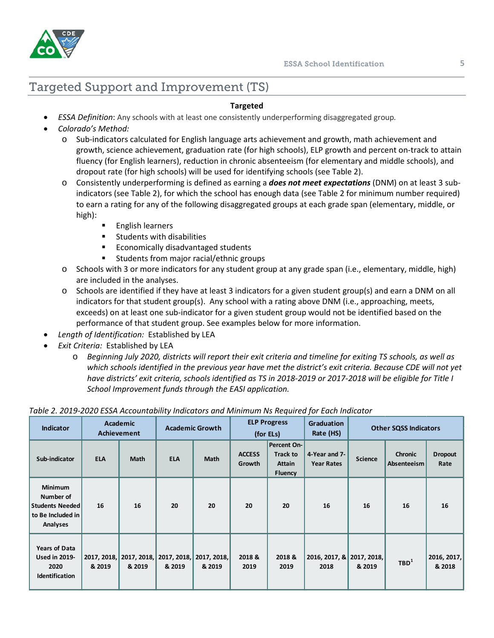

# Targeted Support and Improvement (TS)

#### **Targeted**

- *ESSA Definition*: Any schools with at least one consistently underperforming disaggregated group*.*
- *Colorado's Method:* 
	- o Sub-indicators calculated for English language arts achievement and growth, math achievement and growth, science achievement, graduation rate (for high schools), ELP growth and percent on-track to attain fluency (for English learners), reduction in chronic absenteeism (for elementary and middle schools), and dropout rate (for high schools) will be used for identifying schools (see Table 2).
	- o Consistently underperforming is defined as earning a *does not meet expectations* (DNM) on at least 3 subindicators (see Table 2), for which the school has enough data (see Table 2 for minimum number required) to earn a rating for any of the following disaggregated groups at each grade span (elementary, middle, or high):
		- English learners
		- **EXECUTE:** Students with disabilities
		- **Economically disadvantaged students**
		- **Students from major racial/ethnic groups**
	- o Schools with 3 or more indicators for any student group at any grade span (i.e., elementary, middle, high) are included in the analyses.
	- o Schools are identified if they have at least 3 indicators for a given student group(s) and earn a DNM on all indicators for that student group(s). Any school with a rating above DNM (i.e., approaching, meets, exceeds) on at least one sub-indicator for a given student group would not be identified based on the performance of that student group. See examples below for more information.
- *Length of Identification:* Established by LEA
- *Exit Criteria:* Established by LEA
	- o *Beginning July 2020, districts will report their exit criteria and timeline for exiting TS schools, as well as which schools identified in the previous year have met the district's exit criteria. Because CDE will not yet have districts' exit criteria, schools identified as TS in 2018-2019 or 2017-2018 will be eligible for Title I School Improvement funds through the EASI application.*

| <b>Indicator</b>                                                                       | <b>Academic</b><br><b>Achievement</b> |                                   | <b>Academic Growth</b> |                         |                         | <b>ELP Progress</b><br>(for ELs)                                         | <b>Graduation</b><br>Rate (HS)     | <b>Other SQSS Indicators</b> |                               |                        |
|----------------------------------------------------------------------------------------|---------------------------------------|-----------------------------------|------------------------|-------------------------|-------------------------|--------------------------------------------------------------------------|------------------------------------|------------------------------|-------------------------------|------------------------|
| Sub-indicator                                                                          | <b>ELA</b>                            | <b>Math</b>                       | <b>ELA</b>             | Math                    | <b>ACCESS</b><br>Growth | <b>Percent On-</b><br><b>Track to</b><br><b>Attain</b><br><b>Fluency</b> | 4-Year and 7-<br><b>Year Rates</b> | <b>Science</b>               | <b>Chronic</b><br>Absenteeism | <b>Dropout</b><br>Rate |
| <b>Minimum</b><br>Number of<br><b>Students Needed</b><br>to Be Included in<br>Analyses | 16                                    | 16                                | 20                     | 20                      | 20                      | 20                                                                       | 16                                 | 16                           | 16                            | 16                     |
| <b>Years of Data</b><br><b>Used in 2019-</b><br>2020<br><b>Identification</b>          | & 2019                                | 2017, 2018, 2017, 2018,<br>& 2019 | 2017, 2018,<br>& 2019  | 2017, 2018,  <br>& 2019 | 2018&<br>2019           | 2018 &<br>2019                                                           | 2016, 2017, &<br>2018              | 2017, 2018,  <br>& 2019      | TBD <sup>1</sup>              | 2016, 2017,<br>& 2018  |

#### *Table 2. 2019-2020 ESSA Accountability Indicators and Minimum Ns Required for Each Indicator*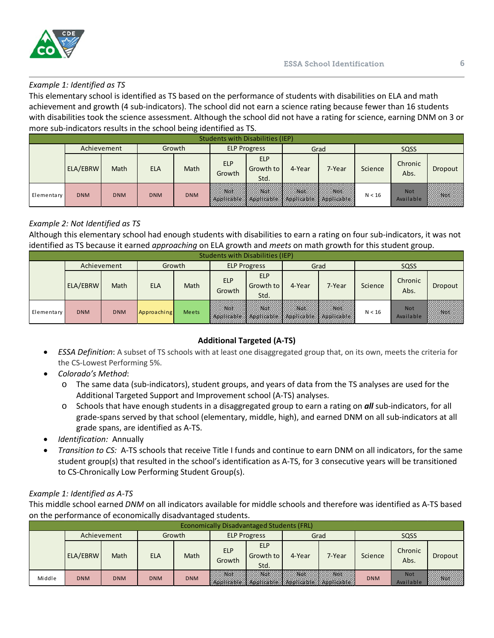

#### *Example 1: Identified as TS*

This elementary school is identified as TS based on the performance of students with disabilities on ELA and math achievement and growth (4 sub-indicators). The school did not earn a science rating because fewer than 16 students with disabilities took the science assessment. Although the school did not have a rating for science, earning DNM on 3 or more sub-indicators results in the school being identified as TS.

| Students with Disabilities (IEP) |             |             |            |             |                      |                                                                                              |        |        |         |                         |             |  |
|----------------------------------|-------------|-------------|------------|-------------|----------------------|----------------------------------------------------------------------------------------------|--------|--------|---------|-------------------------|-------------|--|
|                                  | Achievement |             | Growth     |             | <b>ELP Progress</b>  |                                                                                              | Grad   |        | SQSS    |                         |             |  |
|                                  | ELA/EBRW    | <b>Math</b> | <b>ELA</b> | <b>Math</b> | <b>ELP</b><br>Growth | <b>ELP</b><br><b>Growth to</b><br>Std.                                                       | 4-Year | 7-Year | Science | Chronic<br>Abs.         | Dropout     |  |
| Elementary                       | <b>DNM</b>  | <b>DNM</b>  | <b>DNM</b> | <b>DNM</b>  |                      | WINGCHANGHAM NGCHANGHAM NGCHANGCHANG KA<br>Appweable A Appweable X Applicable X Applicable X |        |        | N < 16  | <b>Not</b><br>Available | <b>BY6K</b> |  |

## *Example 2: Not Identified as TS*

Although this elementary school had enough students with disabilities to earn a rating on four sub-indicators, it was not identified as TS because it earned *approaching* on ELA growth and *meets* on math growth for this student group.

| <b>Students with Disabilities (IEP)</b> |             |            |             |             |                      |                                                                                         |        |             |         |                         |            |
|-----------------------------------------|-------------|------------|-------------|-------------|----------------------|-----------------------------------------------------------------------------------------|--------|-------------|---------|-------------------------|------------|
|                                         | Achievement |            | Growth      |             | <b>ELP Progress</b>  |                                                                                         | Grad   |             | SQSS    |                         |            |
|                                         | ELA/EBRW    | Math       | <b>ELA</b>  | <b>Math</b> | <b>ELP</b><br>Growth | <b>ELP</b><br>Growth to<br>Std.                                                         | 4-Year | 7-Year      | Science | Chronic<br>Abs.         | Dropout    |
| Elementary                              | <b>DNM</b>  | <b>DNM</b> | Approaching | Meets       | <b>DNOVILLINI</b>    | <i><b>INSECTION IN ISSUED</b></i><br>Appweable X Applicable X Applicable X Applicable X |        | <b>MOV.</b> | N < 16  | <b>Not</b><br>Available | <b>Nox</b> |

## **Additional Targeted (A-TS)**

- *ESSA Definition*: A subset of TS schools with at least one disaggregated group that, on its own, meets the criteria for the CS-Lowest Performing 5%.
- *Colorado's Method*:
	- o The same data (sub-indicators), student groups, and years of data from the TS analyses are used for the Additional Targeted Support and Improvement school (A-TS) analyses.
	- o Schools that have enough students in a disaggregated group to earn a rating on *all* sub-indicators, for all grade-spans served by that school (elementary, middle, high), and earned DNM on all sub-indicators at all grade spans, are identified as A-TS.
- *Identification:* Annually
- *Transition to CS:* A-TS schools that receive Title I funds and continue to earn DNM on all indicators, for the same student group(s) that resulted in the school's identification as A-TS, for 3 consecutive years will be transitioned to CS-Chronically Low Performing Student Group(s).

## *Example 1: Identified as A-TS*

This middle school earned *DNM* on all indicators available for middle schools and therefore was identified as A-TS based on the performance of economically disadvantaged students.

| <b>Economically Disadvantaged Students (FRL)</b> |             |            |            |            |                      |                                               |        |                                                           |            |                         |         |  |
|--------------------------------------------------|-------------|------------|------------|------------|----------------------|-----------------------------------------------|--------|-----------------------------------------------------------|------------|-------------------------|---------|--|
|                                                  | Achievement |            | Growth     |            | <b>ELP Progress</b>  |                                               | Grad   |                                                           | SQSS       |                         |         |  |
|                                                  | ELA/EBRW    | Math       | <b>ELA</b> | Math       | <b>ELP</b><br>Growth | <b>ELP</b><br>Growth to<br>Std.               | 4-Year | 7-Year                                                    | Science    | Chronic<br>Abs.         | Dropout |  |
| Middle                                           | <b>DNM</b>  | <b>DNM</b> | <b>DNM</b> | <b>DNM</b> |                      | <i>VIIII NGCHI IXIIII NGCHI IXIII INGCHI.</i> |        | WNEL<br>Applicable X Roblicable X Applicable X Applicable | <b>DNM</b> | <b>Not</b><br>Available | /X6A    |  |